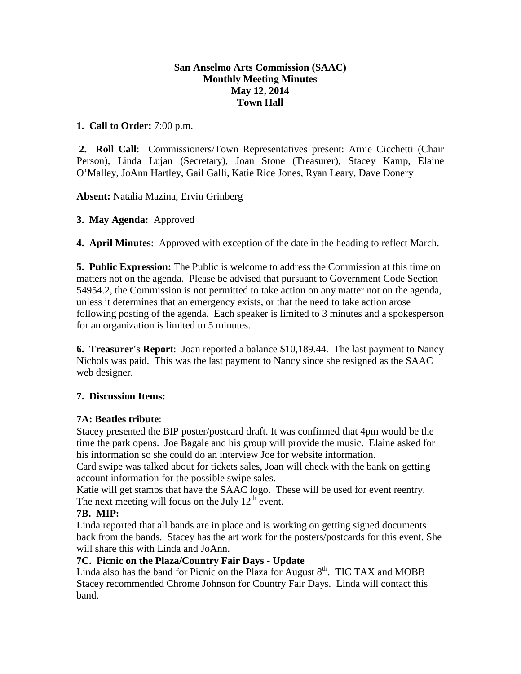## **San Anselmo Arts Commission (SAAC) Monthly Meeting Minutes May 12, 2014 Town Hall**

## **1. Call to Order:** 7:00 p.m.

**2. Roll Call**: Commissioners/Town Representatives present: Arnie Cicchetti (Chair Person), Linda Lujan (Secretary), Joan Stone (Treasurer), Stacey Kamp, Elaine O'Malley, JoAnn Hartley, Gail Galli, Katie Rice Jones, Ryan Leary, Dave Donery

**Absent:** Natalia Mazina, Ervin Grinberg

# **3. May Agenda:** Approved

**4. April Minutes**: Approved with exception of the date in the heading to reflect March.

**5. Public Expression:** The Public is welcome to address the Commission at this time on matters not on the agenda. Please be advised that pursuant to Government Code Section 54954.2, the Commission is not permitted to take action on any matter not on the agenda, unless it determines that an emergency exists, or that the need to take action arose following posting of the agenda. Each speaker is limited to 3 minutes and a spokesperson for an organization is limited to 5 minutes.

**6. Treasurer's Report**: Joan reported a balance \$10,189.44. The last payment to Nancy Nichols was paid. This was the last payment to Nancy since she resigned as the SAAC web designer.

# **7. Discussion Items:**

# **7A: Beatles tribute**:

Stacey presented the BIP poster/postcard draft. It was confirmed that 4pm would be the time the park opens. Joe Bagale and his group will provide the music. Elaine asked for his information so she could do an interview Joe for website information.

Card swipe was talked about for tickets sales, Joan will check with the bank on getting account information for the possible swipe sales.

Katie will get stamps that have the SAAC logo. These will be used for event reentry. The next meeting will focus on the July  $12<sup>th</sup>$  event.

# **7B. MIP:**

Linda reported that all bands are in place and is working on getting signed documents back from the bands. Stacey has the art work for the posters/postcards for this event. She will share this with Linda and JoAnn.

# **7C. Picnic on the Plaza/Country Fair Days - Update**

Linda also has the band for Picnic on the Plaza for August  $8<sup>th</sup>$ . TIC TAX and MOBB Stacey recommended Chrome Johnson for Country Fair Days. Linda will contact this band.